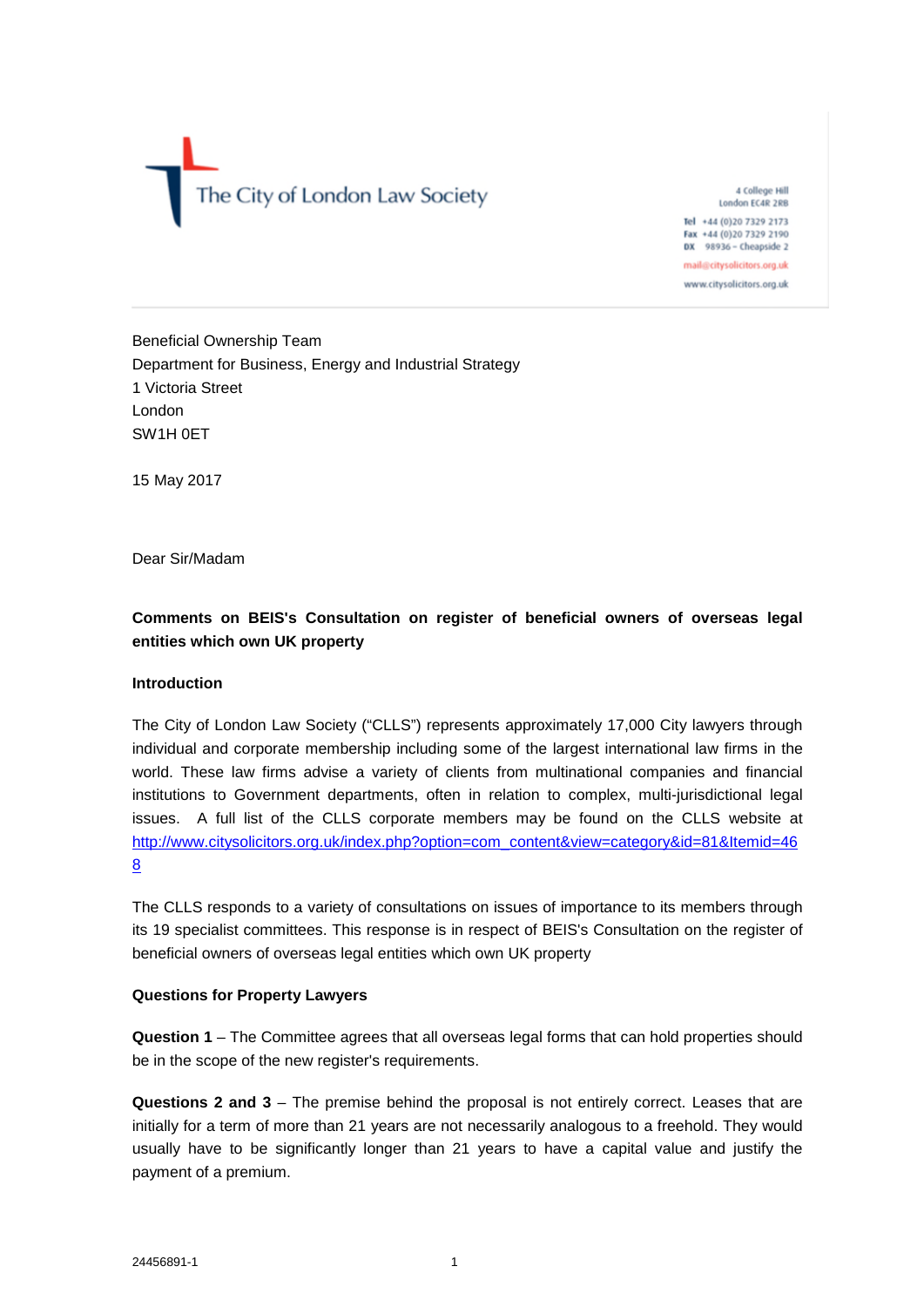The City of London Law Society

4 College Hill London EC4R 2RB Tel +44 (0)20 7329 2173 Fax +44 (0)20 7329 2190 DX 98936 - Cheapside 2 mail@citysolicitors.org.uk

www.citysolicitors.org.uk

Beneficial Ownership Team Department for Business, Energy and Industrial Strategy 1 Victoria Street London SW1H 0ET

15 May 2017

Dear Sir/Madam

# **Comments on BEIS's Consultation on register of beneficial owners of overseas legal entities which own UK property**

# **Introduction**

The City of London Law Society ("CLLS") represents approximately 17,000 City lawyers through individual and corporate membership including some of the largest international law firms in the world. These law firms advise a variety of clients from multinational companies and financial institutions to Government departments, often in relation to complex, multi-jurisdictional legal issues. A full list of the CLLS corporate members may be found on the CLLS website at http://www.citysolicitors.org.uk/index.php?option=com\_content&view=category&id=81&Itemid=46 8

The CLLS responds to a variety of consultations on issues of importance to its members through its 19 specialist committees. This response is in respect of BEIS's Consultation on the register of beneficial owners of overseas legal entities which own UK property

#### **Questions for Property Lawyers**

**Question 1** – The Committee agrees that all overseas legal forms that can hold properties should be in the scope of the new register's requirements.

**Questions 2 and 3** – The premise behind the proposal is not entirely correct. Leases that are initially for a term of more than 21 years are not necessarily analogous to a freehold. They would usually have to be significantly longer than 21 years to have a capital value and justify the payment of a premium.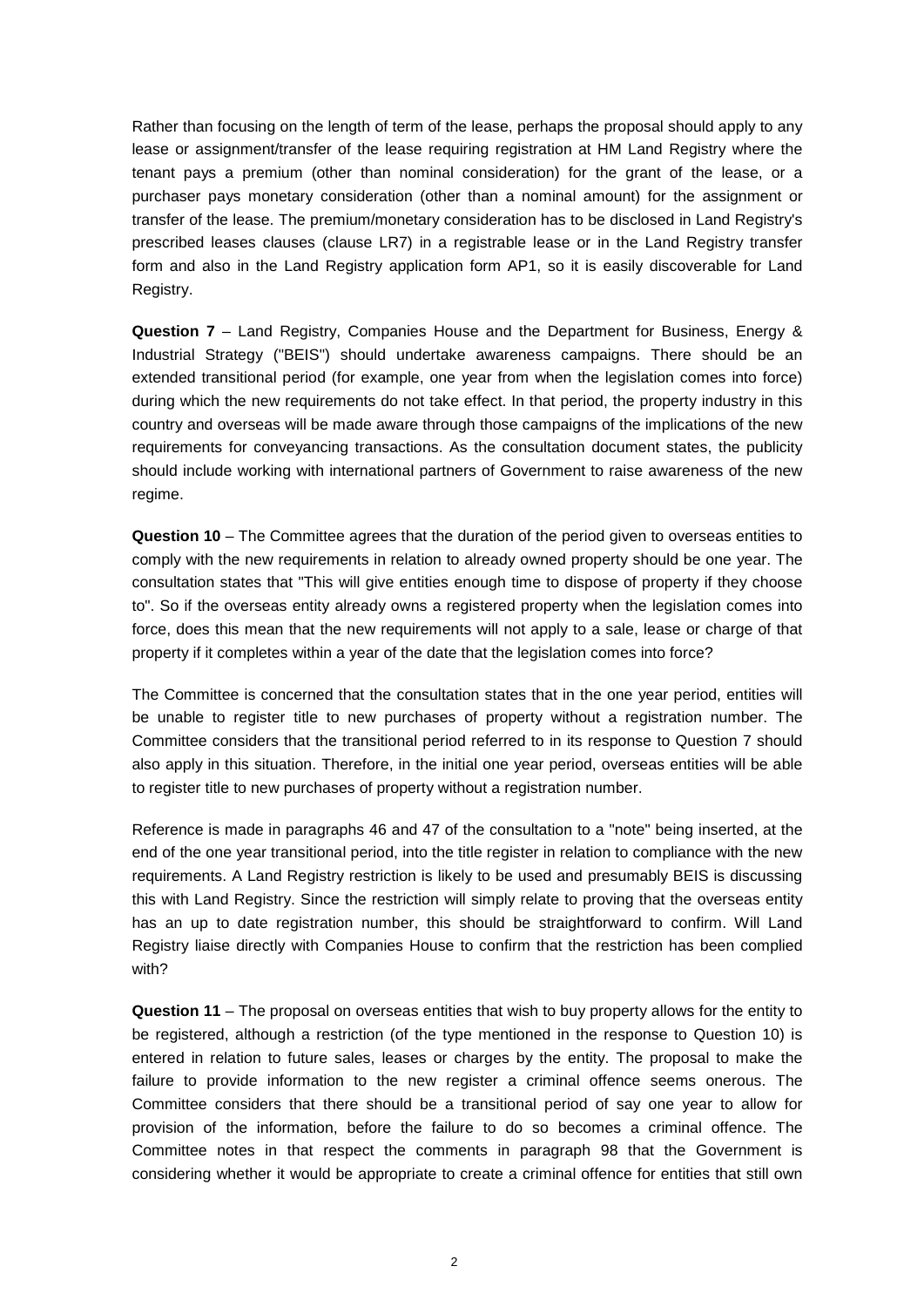Rather than focusing on the length of term of the lease, perhaps the proposal should apply to any lease or assignment/transfer of the lease requiring registration at HM Land Registry where the tenant pays a premium (other than nominal consideration) for the grant of the lease, or a purchaser pays monetary consideration (other than a nominal amount) for the assignment or transfer of the lease. The premium/monetary consideration has to be disclosed in Land Registry's prescribed leases clauses (clause LR7) in a registrable lease or in the Land Registry transfer form and also in the Land Registry application form AP1, so it is easily discoverable for Land Registry.

**Question 7** – Land Registry, Companies House and the Department for Business, Energy & Industrial Strategy ("BEIS") should undertake awareness campaigns. There should be an extended transitional period (for example, one year from when the legislation comes into force) during which the new requirements do not take effect. In that period, the property industry in this country and overseas will be made aware through those campaigns of the implications of the new requirements for conveyancing transactions. As the consultation document states, the publicity should include working with international partners of Government to raise awareness of the new regime.

**Question 10** – The Committee agrees that the duration of the period given to overseas entities to comply with the new requirements in relation to already owned property should be one year. The consultation states that "This will give entities enough time to dispose of property if they choose to". So if the overseas entity already owns a registered property when the legislation comes into force, does this mean that the new requirements will not apply to a sale, lease or charge of that property if it completes within a year of the date that the legislation comes into force?

The Committee is concerned that the consultation states that in the one year period, entities will be unable to register title to new purchases of property without a registration number. The Committee considers that the transitional period referred to in its response to Question 7 should also apply in this situation. Therefore, in the initial one year period, overseas entities will be able to register title to new purchases of property without a registration number.

Reference is made in paragraphs 46 and 47 of the consultation to a "note" being inserted, at the end of the one year transitional period, into the title register in relation to compliance with the new requirements. A Land Registry restriction is likely to be used and presumably BEIS is discussing this with Land Registry. Since the restriction will simply relate to proving that the overseas entity has an up to date registration number, this should be straightforward to confirm. Will Land Registry liaise directly with Companies House to confirm that the restriction has been complied with?

**Question 11** – The proposal on overseas entities that wish to buy property allows for the entity to be registered, although a restriction (of the type mentioned in the response to Question 10) is entered in relation to future sales, leases or charges by the entity. The proposal to make the failure to provide information to the new register a criminal offence seems onerous. The Committee considers that there should be a transitional period of say one year to allow for provision of the information, before the failure to do so becomes a criminal offence. The Committee notes in that respect the comments in paragraph 98 that the Government is considering whether it would be appropriate to create a criminal offence for entities that still own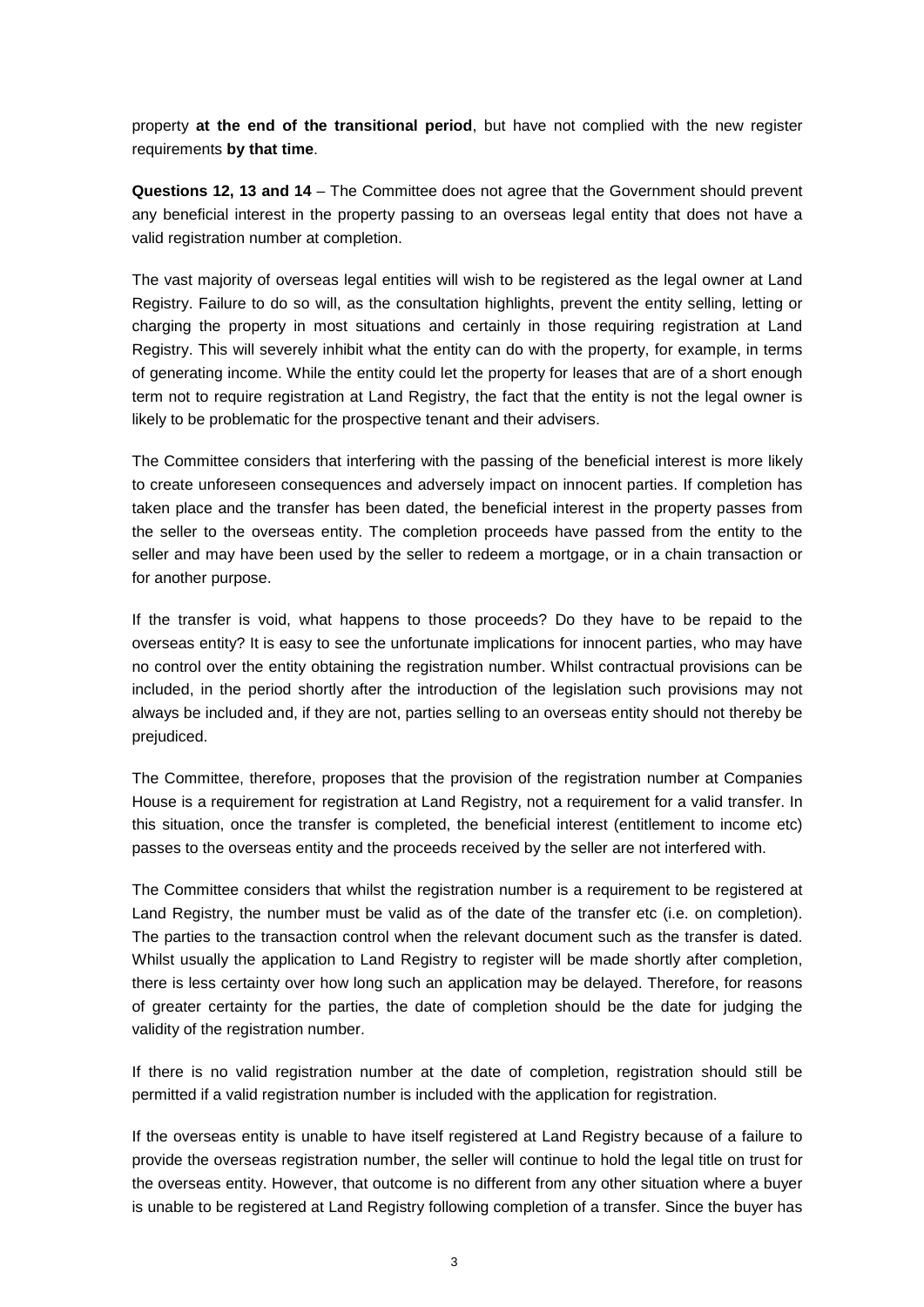property **at the end of the transitional period**, but have not complied with the new register requirements **by that time**.

**Questions 12, 13 and 14** – The Committee does not agree that the Government should prevent any beneficial interest in the property passing to an overseas legal entity that does not have a valid registration number at completion.

The vast majority of overseas legal entities will wish to be registered as the legal owner at Land Registry. Failure to do so will, as the consultation highlights, prevent the entity selling, letting or charging the property in most situations and certainly in those requiring registration at Land Registry. This will severely inhibit what the entity can do with the property, for example, in terms of generating income. While the entity could let the property for leases that are of a short enough term not to require registration at Land Registry, the fact that the entity is not the legal owner is likely to be problematic for the prospective tenant and their advisers.

The Committee considers that interfering with the passing of the beneficial interest is more likely to create unforeseen consequences and adversely impact on innocent parties. If completion has taken place and the transfer has been dated, the beneficial interest in the property passes from the seller to the overseas entity. The completion proceeds have passed from the entity to the seller and may have been used by the seller to redeem a mortgage, or in a chain transaction or for another purpose.

If the transfer is void, what happens to those proceeds? Do they have to be repaid to the overseas entity? It is easy to see the unfortunate implications for innocent parties, who may have no control over the entity obtaining the registration number. Whilst contractual provisions can be included, in the period shortly after the introduction of the legislation such provisions may not always be included and, if they are not, parties selling to an overseas entity should not thereby be prejudiced.

The Committee, therefore, proposes that the provision of the registration number at Companies House is a requirement for registration at Land Registry, not a requirement for a valid transfer. In this situation, once the transfer is completed, the beneficial interest (entitlement to income etc) passes to the overseas entity and the proceeds received by the seller are not interfered with.

The Committee considers that whilst the registration number is a requirement to be registered at Land Registry, the number must be valid as of the date of the transfer etc (i.e. on completion). The parties to the transaction control when the relevant document such as the transfer is dated. Whilst usually the application to Land Registry to register will be made shortly after completion, there is less certainty over how long such an application may be delayed. Therefore, for reasons of greater certainty for the parties, the date of completion should be the date for judging the validity of the registration number.

If there is no valid registration number at the date of completion, registration should still be permitted if a valid registration number is included with the application for registration.

If the overseas entity is unable to have itself registered at Land Registry because of a failure to provide the overseas registration number, the seller will continue to hold the legal title on trust for the overseas entity. However, that outcome is no different from any other situation where a buyer is unable to be registered at Land Registry following completion of a transfer. Since the buyer has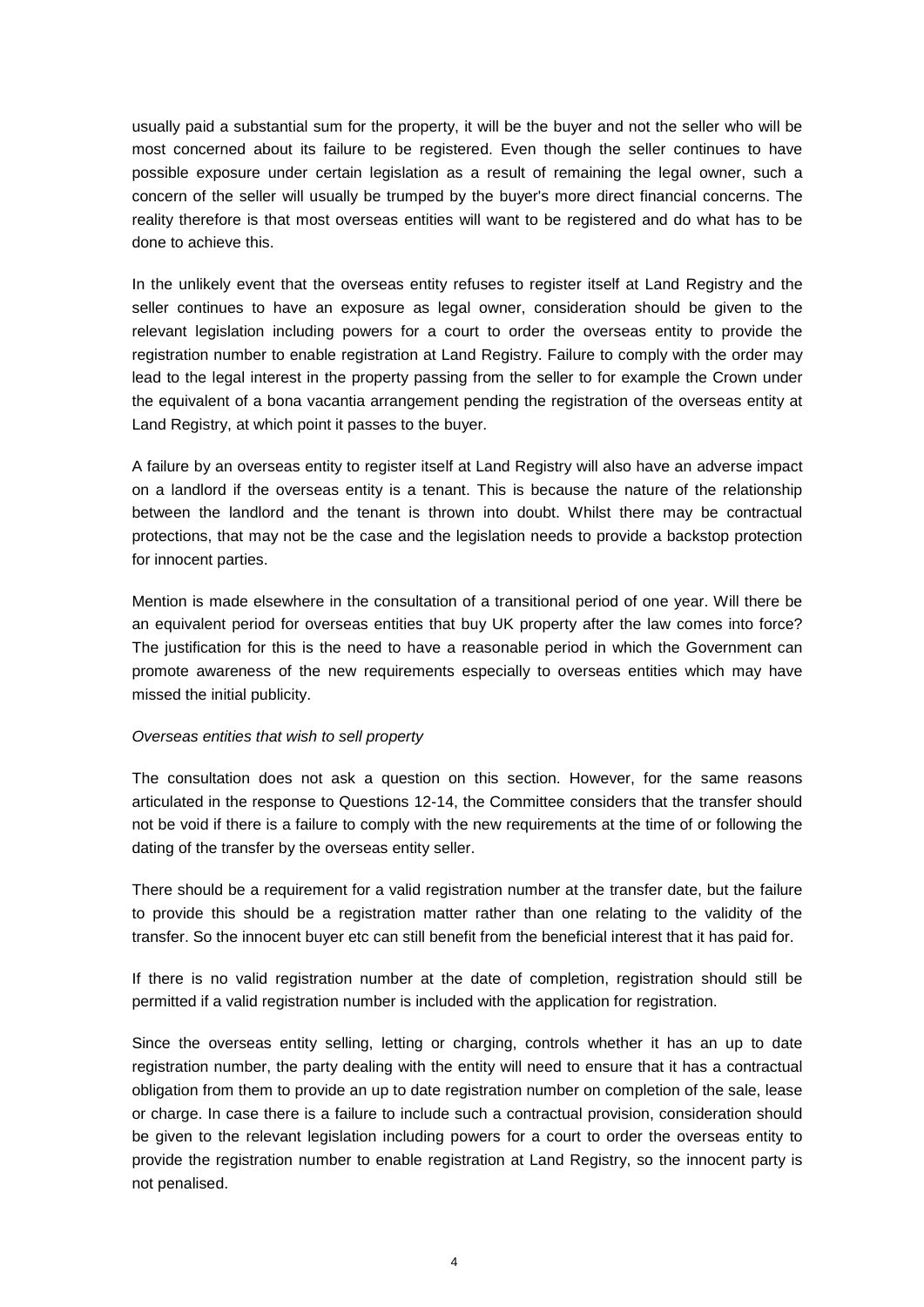usually paid a substantial sum for the property, it will be the buyer and not the seller who will be most concerned about its failure to be registered. Even though the seller continues to have possible exposure under certain legislation as a result of remaining the legal owner, such a concern of the seller will usually be trumped by the buyer's more direct financial concerns. The reality therefore is that most overseas entities will want to be registered and do what has to be done to achieve this.

In the unlikely event that the overseas entity refuses to register itself at Land Registry and the seller continues to have an exposure as legal owner, consideration should be given to the relevant legislation including powers for a court to order the overseas entity to provide the registration number to enable registration at Land Registry. Failure to comply with the order may lead to the legal interest in the property passing from the seller to for example the Crown under the equivalent of a bona vacantia arrangement pending the registration of the overseas entity at Land Registry, at which point it passes to the buyer.

A failure by an overseas entity to register itself at Land Registry will also have an adverse impact on a landlord if the overseas entity is a tenant. This is because the nature of the relationship between the landlord and the tenant is thrown into doubt. Whilst there may be contractual protections, that may not be the case and the legislation needs to provide a backstop protection for innocent parties.

Mention is made elsewhere in the consultation of a transitional period of one year. Will there be an equivalent period for overseas entities that buy UK property after the law comes into force? The justification for this is the need to have a reasonable period in which the Government can promote awareness of the new requirements especially to overseas entities which may have missed the initial publicity.

# *Overseas entities that wish to sell property*

The consultation does not ask a question on this section. However, for the same reasons articulated in the response to Questions 12-14, the Committee considers that the transfer should not be void if there is a failure to comply with the new requirements at the time of or following the dating of the transfer by the overseas entity seller.

There should be a requirement for a valid registration number at the transfer date, but the failure to provide this should be a registration matter rather than one relating to the validity of the transfer. So the innocent buyer etc can still benefit from the beneficial interest that it has paid for.

If there is no valid registration number at the date of completion, registration should still be permitted if a valid registration number is included with the application for registration.

Since the overseas entity selling, letting or charging, controls whether it has an up to date registration number, the party dealing with the entity will need to ensure that it has a contractual obligation from them to provide an up to date registration number on completion of the sale, lease or charge. In case there is a failure to include such a contractual provision, consideration should be given to the relevant legislation including powers for a court to order the overseas entity to provide the registration number to enable registration at Land Registry, so the innocent party is not penalised.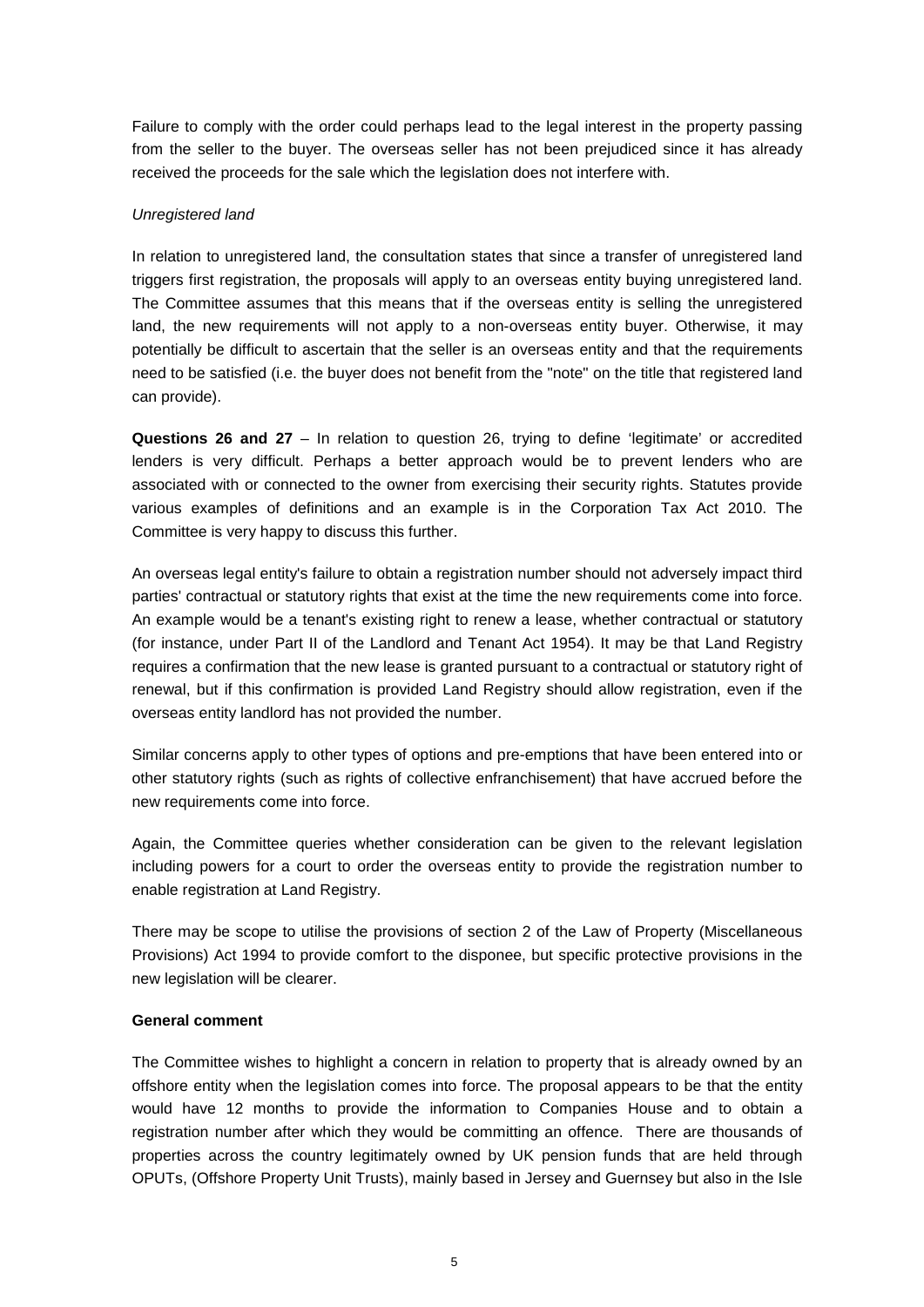Failure to comply with the order could perhaps lead to the legal interest in the property passing from the seller to the buyer. The overseas seller has not been prejudiced since it has already received the proceeds for the sale which the legislation does not interfere with.

# *Unregistered land*

In relation to unregistered land, the consultation states that since a transfer of unregistered land triggers first registration, the proposals will apply to an overseas entity buying unregistered land. The Committee assumes that this means that if the overseas entity is selling the unregistered land, the new requirements will not apply to a non-overseas entity buyer. Otherwise, it may potentially be difficult to ascertain that the seller is an overseas entity and that the requirements need to be satisfied (i.e. the buyer does not benefit from the "note" on the title that registered land can provide).

**Questions 26 and 27** – In relation to question 26, trying to define 'legitimate' or accredited lenders is very difficult. Perhaps a better approach would be to prevent lenders who are associated with or connected to the owner from exercising their security rights. Statutes provide various examples of definitions and an example is in the Corporation Tax Act 2010. The Committee is very happy to discuss this further.

An overseas legal entity's failure to obtain a registration number should not adversely impact third parties' contractual or statutory rights that exist at the time the new requirements come into force. An example would be a tenant's existing right to renew a lease, whether contractual or statutory (for instance, under Part II of the Landlord and Tenant Act 1954). It may be that Land Registry requires a confirmation that the new lease is granted pursuant to a contractual or statutory right of renewal, but if this confirmation is provided Land Registry should allow registration, even if the overseas entity landlord has not provided the number.

Similar concerns apply to other types of options and pre-emptions that have been entered into or other statutory rights (such as rights of collective enfranchisement) that have accrued before the new requirements come into force.

Again, the Committee queries whether consideration can be given to the relevant legislation including powers for a court to order the overseas entity to provide the registration number to enable registration at Land Registry.

There may be scope to utilise the provisions of section 2 of the Law of Property (Miscellaneous Provisions) Act 1994 to provide comfort to the disponee, but specific protective provisions in the new legislation will be clearer.

# **General comment**

The Committee wishes to highlight a concern in relation to property that is already owned by an offshore entity when the legislation comes into force. The proposal appears to be that the entity would have 12 months to provide the information to Companies House and to obtain a registration number after which they would be committing an offence. There are thousands of properties across the country legitimately owned by UK pension funds that are held through OPUTs, (Offshore Property Unit Trusts), mainly based in Jersey and Guernsey but also in the Isle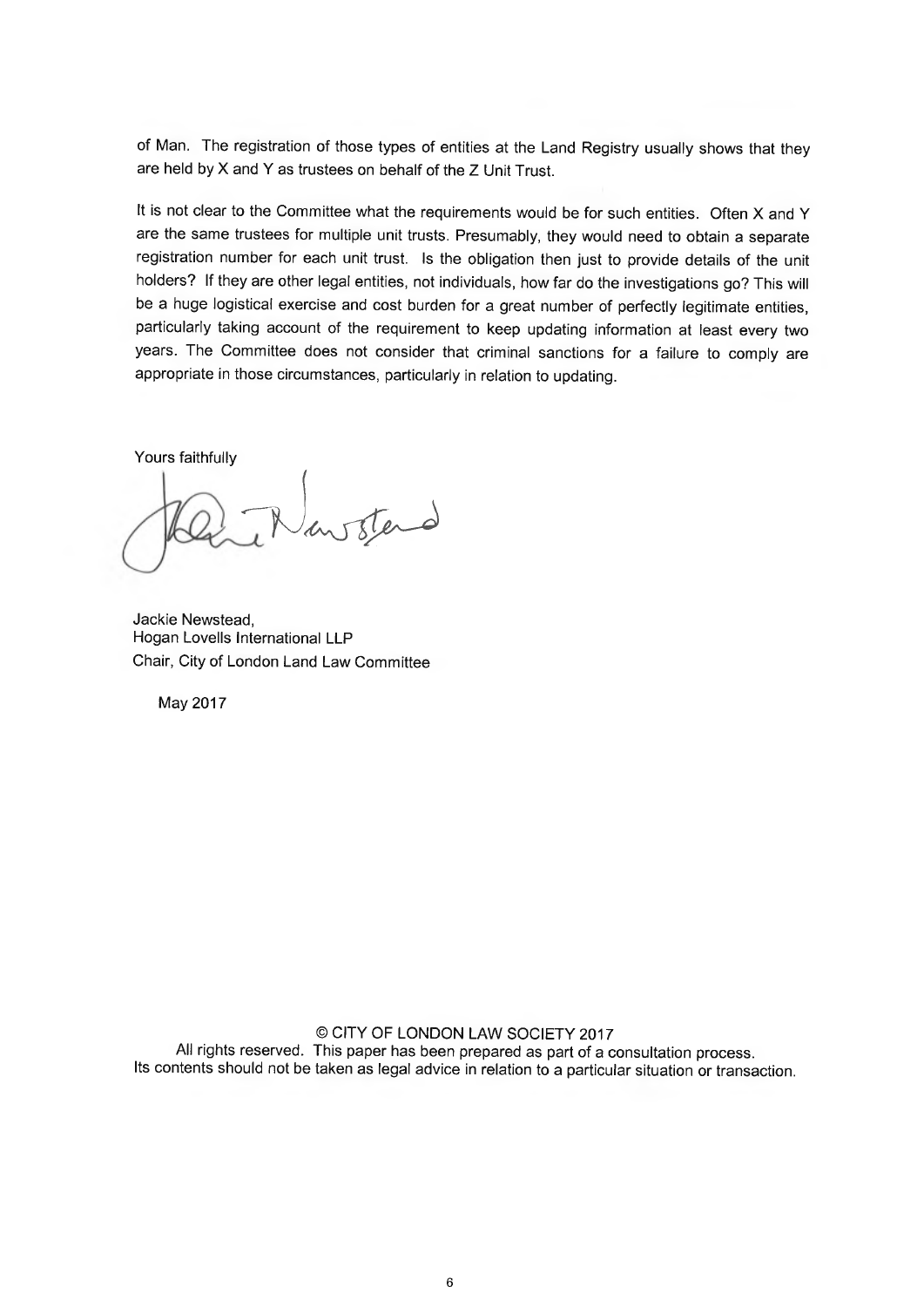of Man. The registration of those types of entities at the Land Registry usually shows that they are held by X and Y as trustees on behalf of the Z Unit Trust.

It is not clear to the Committee what the requirements would be for such entities. Often X and Y are the same trustees for multiple unit trusts. Presumably, they would need to obtain a separate registration number for each unit trust. Is the obligation then just to provide details of the unit holders? If they are other legal entities, not individuals, how far do the investigations go? This will be a huge logistical exercise and cost burden for a great number of perfectly legitimate entities, particularly taking account of the requirement to keep updating information at least every two years. The Committee does not consider that criminal sanctions for a failure to comply are appropriate in those circumstances, particularly in relation to updating.

Yours faithfully

Jackie Newstead, Hogan Lovells International LLP Chair, City of London Land Law Committee

May 2017

© CITY OF LONDON LAW SOCIETY 2017 All rights reserved. This paper has been prepared as part of a consultation process. Its contents should not be taken as legal advice in relation to a particular situation or transaction.